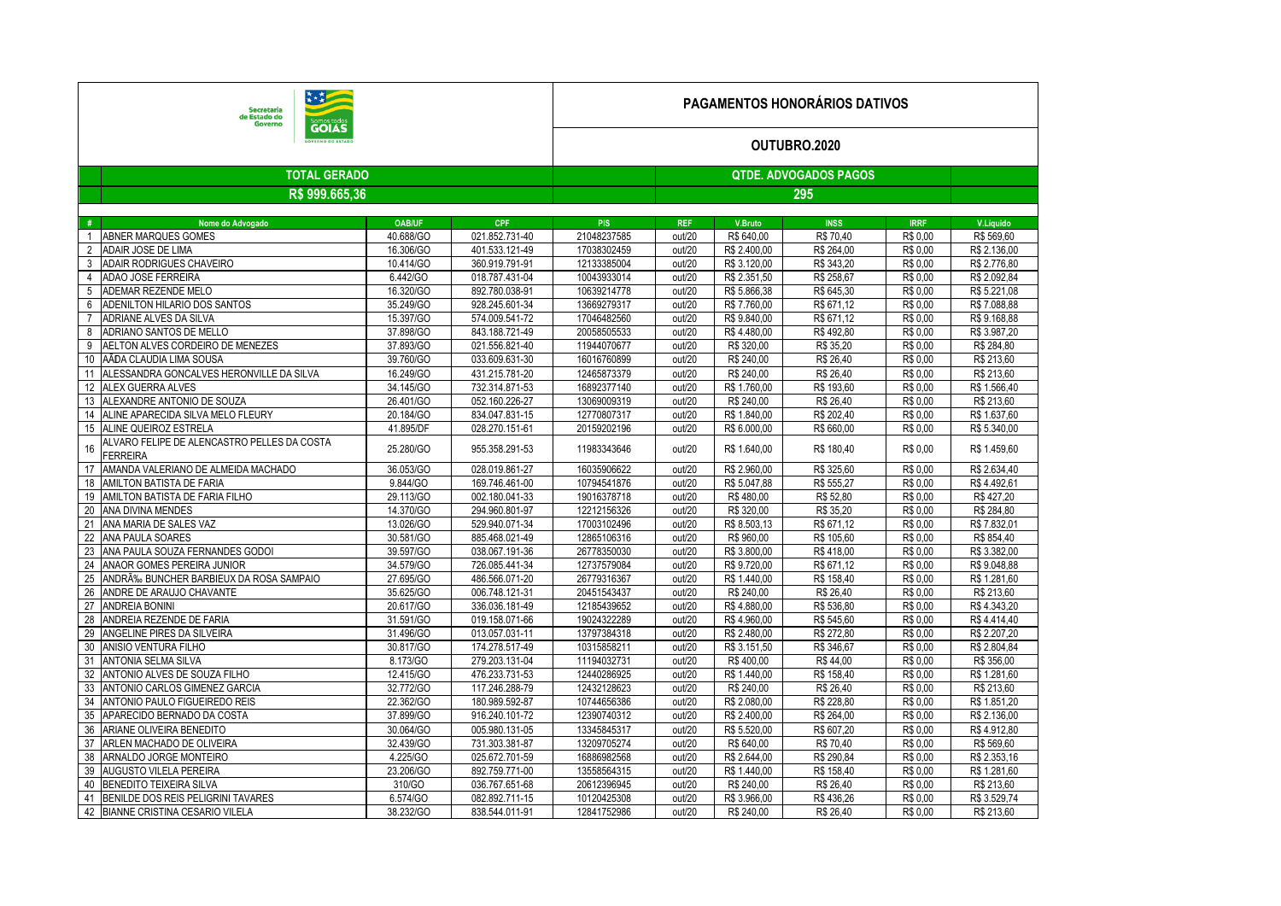| 数类<br><b>Secretaria</b><br>de Estado do<br>Governo<br>GOIÁS   |               |                | <b>PAGAMENTOS HONORÁRIOS DATIVOS</b> |            |              |                              |             |              |  |  |  |
|---------------------------------------------------------------|---------------|----------------|--------------------------------------|------------|--------------|------------------------------|-------------|--------------|--|--|--|
|                                                               |               |                | OUTUBRO.2020                         |            |              |                              |             |              |  |  |  |
| <b>TOTAL GERADO</b>                                           |               |                |                                      |            |              | <b>QTDE. ADVOGADOS PAGOS</b> |             |              |  |  |  |
| R\$ 999,665,36                                                |               |                |                                      |            |              | 295                          |             |              |  |  |  |
|                                                               |               |                |                                      |            |              |                              |             |              |  |  |  |
| Nome do Advogado<br>#                                         | <b>OAB/UF</b> | <b>CPF</b>     | <b>PIS</b>                           | <b>REF</b> | V.Bruto      | <b>INSS</b>                  | <b>IRRF</b> | V.Líquido    |  |  |  |
| ABNER MARQUES GOMES                                           | 40.688/GO     | 021.852.731-40 | 21048237585                          | out/20     | R\$ 640,00   | R\$ 70,40                    | R\$ 0.00    | R\$ 569,60   |  |  |  |
| ADAIR JOSE DE LIMA<br>$\overline{2}$                          | 16.306/GO     | 401.533.121-49 | 17038302459                          | out/20     | R\$ 2.400,00 | R\$ 264,00                   | R\$ 0.00    | R\$ 2.136,00 |  |  |  |
| 3<br><b>ADAIR RODRIGUES CHAVEIRO</b>                          | 10.414/GO     | 360.919.791-91 | 12133385004                          | out/20     | R\$ 3.120.00 | R\$ 343,20                   | R\$ 0.00    | R\$ 2.776.80 |  |  |  |
| ADAO JOSE FERREIRA<br>4                                       | 6.442/GO      | 018.787.431-04 | 10043933014                          | out/20     | R\$ 2.351,50 | R\$ 258,67                   | R\$ 0.00    | R\$ 2.092,84 |  |  |  |
| 5<br>ADEMAR REZENDE MELO                                      | 16.320/GO     | 892.780.038-91 | 10639214778                          | out/20     | R\$ 5.866,38 | R\$ 645,30                   | R\$ 0.00    | R\$ 5.221,08 |  |  |  |
| ADENILTON HILARIO DOS SANTOS<br>6                             | 35.249/GO     | 928.245.601-34 | 13669279317                          | out/20     | R\$ 7.760.00 | R\$ 671,12                   | R\$ 0.00    | R\$7.088,88  |  |  |  |
| ADRIANE ALVES DA SILVA                                        | 15.397/GO     | 574.009.541-72 | 17046482560                          | out/20     | R\$ 9.840,00 | R\$ 671,12                   | R\$ 0.00    | R\$ 9.168,88 |  |  |  |
| ADRIANO SANTOS DE MELLO                                       | 37.898/GO     | 843.188.721-49 | 20058505533                          | out/20     | R\$4.480,00  | R\$492,80                    | R\$ 0.00    | R\$ 3.987,20 |  |  |  |
| AELTON ALVES CORDEIRO DE MENEZES<br>9                         | 37.893/GO     | 021.556.821-40 | 11944070677                          | out/20     | R\$ 320,00   | R\$ 35,20                    | R\$ 0.00    | R\$ 284,80   |  |  |  |
| 10 AÃDA CLAUDIA LIMA SOUSA                                    | 39.760/GO     | 033.609.631-30 | 16016760899                          | out/20     | R\$ 240.00   | R\$ 26,40                    | R\$ 0.00    | R\$ 213.60   |  |  |  |
| ALESSANDRA GONCALVES HERONVILLE DA SILVA<br>11                | 16.249/GO     | 431.215.781-20 | 12465873379                          | out/20     | R\$ 240,00   | R\$ 26,40                    | R\$ 0.00    | R\$ 213,60   |  |  |  |
| <b>ALEX GUERRA ALVES</b><br>12 <sup>°</sup>                   | 34.145/GO     | 732.314.871-53 | 16892377140                          | out/20     | R\$ 1.760,00 | R\$ 193,60                   | R\$ 0.00    | R\$ 1.566,40 |  |  |  |
| ALEXANDRE ANTONIO DE SOUZA<br>13                              | 26.401/GO     | 052.160.226-27 | 13069009319                          | out/20     | R\$ 240,00   | R\$ 26,40                    | R\$ 0.00    | R\$ 213,60   |  |  |  |
| ALINE APARECIDA SILVA MELO FLEURY<br>14                       | 20.184/GO     | 834.047.831-15 | 12770807317                          | out/20     | R\$ 1.840.00 | R\$ 202.40                   | R\$ 0.00    | R\$ 1.637.60 |  |  |  |
| 15 ALINE QUEIROZ ESTRELA                                      | 41.895/DF     | 028.270.151-61 | 20159202196                          | out/20     | R\$ 6.000.00 | R\$ 660.00                   | R\$ 0.00    | R\$ 5.340,00 |  |  |  |
| ALVARO FELIPE DE ALENCASTRO PELLES DA COSTA<br>16<br>FERREIRA | 25.280/GO     | 955.358.291-53 | 11983343646                          | out/20     | R\$ 1.640.00 | R\$ 180,40                   | R\$ 0,00    | R\$ 1.459,60 |  |  |  |
| 17 AMANDA VALERIANO DE ALMEIDA MACHADO                        | 36.053/GO     | 028.019.861-27 | 16035906622                          | out/20     | R\$ 2.960,00 | R\$ 325,60                   | R\$ 0.00    | R\$ 2.634.40 |  |  |  |
| 18 AMILTON BATISTA DE FARIA                                   | 9.844/GO      | 169.746.461-00 | 10794541876                          | out/20     | R\$ 5.047,88 | R\$ 555,27                   | R\$ 0.00    | R\$4.492.61  |  |  |  |
| 19 AMILTON BATISTA DE FARIA FILHO                             | 29.113/GO     | 002.180.041-33 | 19016378718                          | out/20     | R\$480,00    | R\$ 52,80                    | R\$ 0.00    | R\$427,20    |  |  |  |
| ANA DIVINA MENDES<br>20                                       | 14.370/GO     | 294.960.801-97 | 12212156326                          | out/20     | R\$ 320,00   | R\$ 35,20                    | R\$ 0.00    | R\$ 284,80   |  |  |  |
| 21<br>ANA MARIA DE SALES VAZ                                  | 13.026/GO     | 529.940.071-34 | 17003102496                          | out/20     | R\$ 8.503.13 | R\$ 671.12                   | R\$ 0.00    | R\$ 7.832.01 |  |  |  |
| 22 ANA PAULA SOARES                                           | 30.581/GO     | 885.468.021-49 | 12865106316                          | out/20     | R\$ 960,00   | R\$ 105,60                   | R\$ 0,00    | R\$ 854,40   |  |  |  |
| 23 ANA PAULA SOUZA FERNANDES GODOI                            | 39.597/GO     | 038.067.191-36 | 26778350030                          | out/20     | R\$ 3.800,00 | R\$418,00                    | R\$ 0.00    | R\$ 3.382,00 |  |  |  |
| 24 ANAOR GOMES PEREIRA JUNIOR                                 | 34.579/GO     | 726.085.441-34 | 12737579084                          | out/20     | R\$ 9.720,00 | R\$ 671,12                   | R\$ 0.00    | R\$ 9.048,88 |  |  |  |
| ANDRÉ BUNCHER BARBIEUX DA ROSA SAMPAIO<br>25                  | 27.695/GO     | 486.566.071-20 | 26779316367                          | out/20     | R\$ 1.440.00 | R\$ 158.40                   | R\$ 0.00    | R\$ 1.281.60 |  |  |  |
| ANDRE DE ARAUJO CHAVANTE<br>26                                | 35.625/GO     | 006.748.121-31 | 20451543437                          | out/20     | R\$ 240,00   | R\$ 26,40                    | R\$ 0.00    | R\$ 213,60   |  |  |  |
| 27<br><b>ANDREIA BONINI</b>                                   | 20.617/GO     | 336.036.181-49 | 12185439652                          | out/20     | R\$4.880,00  | R\$ 536,80                   | R\$ 0.00    | R\$4.343,20  |  |  |  |
| ANDREIA REZENDE DE FARIA<br>28                                | 31.591/GO     | 019.158.071-66 | 19024322289                          | out/20     | R\$4.960,00  | R\$ 545,60                   | R\$ 0.00    | R\$4.414,40  |  |  |  |
| ANGELINE PIRES DA SILVEIRA<br>29                              | 31.496/GO     | 013.057.031-11 | 13797384318                          | out/20     | R\$ 2.480.00 | R\$ 272,80                   | R\$ 0.00    | R\$ 2.207.20 |  |  |  |
| 30<br>ANISIO VENTURA FILHO                                    | 30.817/GO     | 174.278.517-49 | 10315858211                          | out/20     | R\$ 3.151.50 | R\$ 346,67                   | R\$ 0.00    | R\$ 2.804,84 |  |  |  |
| 31<br><b>ANTONIA SELMA SILVA</b>                              | 8.173/GO      | 279.203.131-04 | 11194032731                          | out/20     | R\$400,00    | R\$44,00                     | R\$ 0.00    | R\$ 356,00   |  |  |  |
| ANTONIO ALVES DE SOUZA FILHO<br>32                            | 12.415/GO     | 476.233.731-53 | 12440286925                          | out/20     | R\$ 1.440,00 | R\$ 158,40                   | R\$ 0.00    | R\$ 1.281,60 |  |  |  |
| 33<br>ANTONIO CARLOS GIMENEZ GARCIA                           | 32.772/GO     | 117.246.288-79 | 12432128623                          | out/20     | R\$ 240,00   | R\$ 26,40                    | R\$ 0.00    | R\$ 213,60   |  |  |  |
| ANTONIO PAULO FIGUEIREDO REIS<br>34                           | 22.362/GO     | 180.989.592-87 | 10744656386                          | out/20     | R\$ 2.080,00 | R\$ 228,80                   | R\$ 0.00    | R\$ 1.851,20 |  |  |  |
| APARECIDO BERNADO DA COSTA<br>35                              | 37.899/GO     | 916.240.101-72 | 12390740312                          | out/20     | R\$ 2.400,00 | R\$ 264,00                   | R\$ 0.00    | R\$ 2.136,00 |  |  |  |
| 36<br>ARIANE OLIVEIRA BENEDITO                                | 30.064/GO     | 005.980.131-05 | 13345845317                          | out/20     | R\$ 5.520,00 | R\$ 607,20                   | R\$ 0.00    | R\$4.912,80  |  |  |  |
| 37<br>ARLEN MACHADO DE OLIVEIRA                               | 32.439/GO     | 731.303.381-87 | 13209705274                          | out/20     | R\$ 640.00   | R\$ 70,40                    | R\$ 0.00    | R\$ 569,60   |  |  |  |
| ARNALDO JORGE MONTEIRO<br>38                                  | 4.225/GO      | 025.672.701-59 | 16886982568                          | out/20     | R\$ 2.644,00 | R\$ 290,84                   | R\$ 0.00    | R\$ 2.353,16 |  |  |  |
| <b>AUGUSTO VILELA PEREIRA</b><br>39                           | 23.206/GO     | 892.759.771-00 | 13558564315                          | out/20     | R\$ 1.440,00 | R\$ 158,40                   | R\$ 0.00    | R\$ 1.281,60 |  |  |  |
| 40<br><b>BENEDITO TEIXEIRA SILVA</b>                          | 310/GO        | 036.767.651-68 | 20612396945                          | out/20     | R\$ 240,00   | R\$ 26,40                    | R\$ 0,00    | R\$ 213,60   |  |  |  |
| BENILDE DOS REIS PELIGRINI TAVARES<br>41                      | 6.574/GO      | 082.892.711-15 | 10120425308                          | out/20     | R\$ 3.966,00 | R\$436,26                    | R\$ 0.00    | R\$ 3.529,74 |  |  |  |
| 42 BIANNE CRISTINA CESARIO VILELA                             | 38.232/GO     | 838.544.011-91 | 12841752986                          | out/20     | R\$ 240,00   | R\$ 26,40                    | R\$ 0,00    | R\$ 213,60   |  |  |  |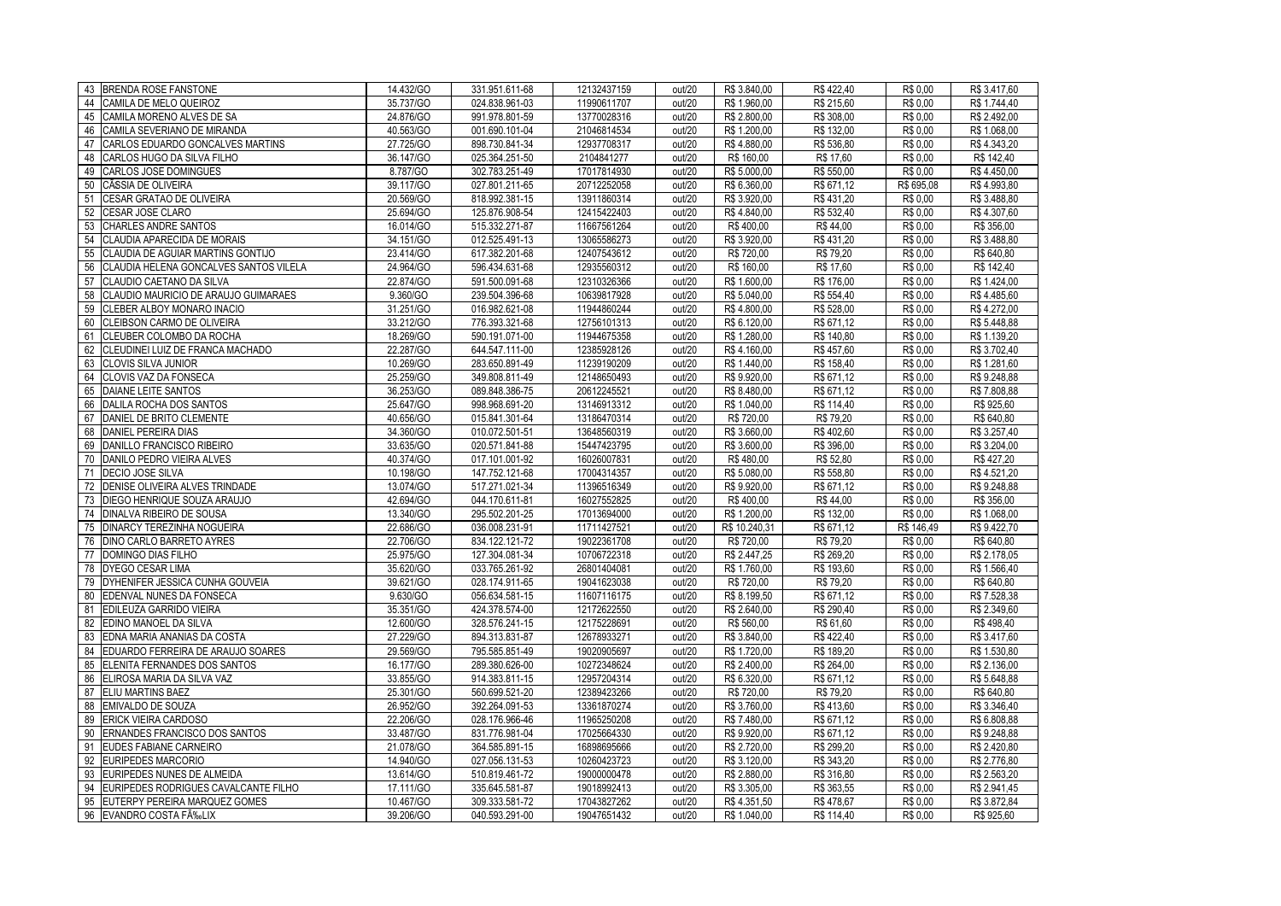|          | 43 BRENDA ROSE FANSTONE                 | 14.432/GO              | 331.951.611-68 | 12132437159 | out/20 | R\$ 3.840,00  | R\$422,40  | R\$ 0.00   | R\$ 3.417,60               |
|----------|-----------------------------------------|------------------------|----------------|-------------|--------|---------------|------------|------------|----------------------------|
| 44       | CAMILA DE MELO QUEIROZ                  | 35.737/GO              | 024.838.961-03 | 11990611707 | out/20 | R\$ 1.960,00  | R\$ 215,60 | R\$ 0.00   | R\$ 1.744,40               |
|          | 45 CAMILA MORENO ALVES DE SA            | 24.876/GO              | 991.978.801-59 | 13770028316 | out/20 | R\$ 2.800,00  | R\$ 308,00 | R\$ 0.00   | R\$ 2.492,00               |
| 46       | CAMILA SEVERIANO DE MIRANDA             | 40.563/GO              | 001.690.101-04 | 21046814534 | out/20 | R\$ 1.200,00  | R\$ 132,00 | R\$ 0,00   | R\$ 1.068,00               |
| 47       | CARLOS EDUARDO GONCALVES MARTINS        | 27.725/GO              | 898.730.841-34 | 12937708317 | out/20 | R\$4.880,00   | R\$ 536,80 | R\$ 0.00   | R\$4.343,20                |
| 48       | CARLOS HUGO DA SILVA FILHO              | 36.147/GO              | 025.364.251-50 | 2104841277  | out/20 | R\$ 160,00    | R\$ 17,60  | R\$ 0.00   | R\$ 142,40                 |
| 49       | CARLOS JOSE DOMINGUES                   | 8.787/GO               | 302.783.251-49 | 17017814930 | out/20 | R\$ 5.000,00  | R\$ 550,00 | R\$ 0,00   | R\$4.450,00                |
| 50       | <b>CÃSSIA DE OLIVEIRA</b>               | 39.117/GO              | 027.801.211-65 | 20712252058 | out/20 | R\$ 6.360,00  | R\$ 671,12 | R\$ 695,08 | R\$4.993,80                |
| 51       | CESAR GRATAO DE OLIVEIRA                | 20.569/GO              | 818.992.381-15 | 13911860314 | out/20 | R\$ 3.920,00  | R\$431,20  | R\$ 0.00   | R\$ 3.488,80               |
| 52       | <b>CESAR JOSE CLARO</b>                 | 25.694/GO              | 125.876.908-54 | 12415422403 | out/20 | R\$4.840.00   | R\$ 532,40 | R\$ 0.00   | R\$4.307,60                |
| 53       | CHARLES ANDRE SANTOS                    | 16.014/GO              | 515.332.271-87 | 11667561264 | out/20 | R\$400,00     | R\$44,00   | R\$ 0.00   | R\$ 356,00                 |
|          | 54 CLAUDIA APARECIDA DE MORAIS          | 34.151/GO              | 012.525.491-13 | 13065586273 | out/20 | R\$ 3.920,00  | R\$431,20  | R\$ 0.00   | R\$ 3.488,80               |
| 55       | CLAUDIA DE AGUIAR MARTINS GONTIJO       | 23.414/GO              | 617.382.201-68 | 12407543612 | out/20 | R\$720,00     | R\$ 79,20  | R\$ 0,00   | R\$ 640,80                 |
| 56       | CLAUDIA HELENA GONCALVES SANTOS VILELA  | 24.964/GO              | 596.434.631-68 | 12935560312 | out/20 | R\$ 160,00    | R\$ 17,60  | R\$ 0.00   | R\$ 142,40                 |
| 57       | CLAUDIO CAETANO DA SILVA                | 22.874/GO              | 591.500.091-68 | 12310326366 | out/20 | R\$ 1.600,00  | R\$ 176,00 | R\$ 0.00   | R\$ 1.424,00               |
|          | 58 CLAUDIO MAURICIO DE ARAUJO GUIMARAES | 9.360/GO               | 239.504.396-68 | 10639817928 | out/20 | R\$ 5.040,00  | R\$ 554,40 | R\$ 0,00   | R\$4.485,60                |
| 59       | CLEBER ALBOY MONARO INACIO              | 31.251/GO              | 016.982.621-08 | 11944860244 | out/20 | R\$4.800,00   | R\$ 528,00 | R\$ 0.00   | R\$4.272,00                |
| 60       | CLEIBSON CARMO DE OLIVEIRA              | 33.212/GO              | 776.393.321-68 | 12756101313 | out/20 | R\$ 6.120,00  | R\$ 671,12 | R\$ 0,00   | R\$ 5.448,88               |
| 61       | CLEUBER COLOMBO DA ROCHA                | 18.269/GO              | 590.191.071-00 | 11944675358 | out/20 | R\$ 1.280,00  | R\$ 140,80 | R\$ 0.00   | R\$ 1.139,20               |
| 62       | CLEUDINEI LUIZ DE FRANCA MACHADO        | 22.287/GO              | 644.547.111-00 | 12385928126 | out/20 | R\$4.160,00   | R\$457,60  | R\$ 0.00   | R\$ 3.702,40               |
| 63       | <b>CLOVIS SILVA JUNIOR</b>              | 10.269/GO              | 283.650.891-49 | 11239190209 | out/20 | R\$ 1.440,00  | R\$ 158,40 | R\$ 0,00   | R\$ 1.281,60               |
| 64       | CLOVIS VAZ DA FONSECA                   | 25.259/GO              | 349.808.811-49 | 12148650493 | out/20 | R\$ 9.920,00  | R\$ 671,12 | R\$ 0,00   | R\$ 9.248,88               |
| 65       | DAIANE LEITE SANTOS                     | 36.253/GO              | 089.848.386-75 | 20612245521 | out/20 | R\$ 8.480,00  | R\$ 671,12 | R\$ 0,00   | R\$ 7.808,88               |
| 66       | DALILA ROCHA DOS SANTOS                 | 25.647/GO              | 998.968.691-20 | 13146913312 | out/20 | R\$ 1.040,00  | R\$ 114,40 | R\$ 0,00   | R\$ 925,60                 |
| 67       | DANIEL DE BRITO CLEMENTE                | 40.656/GO              | 015.841.301-64 | 13186470314 | out/20 | R\$ 720,00    | R\$ 79,20  | R\$ 0.00   | R\$ 640,80                 |
| 68       | <b>DANIEL PEREIRA DIAS</b>              | 34.360/GO              | 010.072.501-51 | 13648560319 | out/20 | R\$ 3.660,00  | R\$402,60  | R\$ 0.00   | R\$ 3.257,40               |
|          | 69 DANILLO FRANCISCO RIBEIRO            | 33.635/GO              | 020.571.841-88 | 15447423795 | out/20 | R\$ 3.600,00  | R\$ 396,00 | R\$ 0.00   | R\$ 3.204,00               |
| 70       | DANILO PEDRO VIEIRA ALVES               | 40.374/GO              | 017.101.001-92 | 16026007831 | out/20 | R\$480,00     | R\$ 52,80  | R\$ 0.00   | R\$427,20                  |
| 71       | <b>DECIO JOSE SILVA</b>                 | 10.198/GO              | 147.752.121-68 | 17004314357 | out/20 | R\$ 5.080,00  | R\$ 558,80 | R\$ 0.00   | R\$4.521,20                |
| 72       | DENISE OLIVEIRA ALVES TRINDADE          | 13.074/GO              | 517.271.021-34 | 11396516349 | out/20 | R\$ 9.920,00  | R\$ 671,12 | R\$ 0,00   | R\$ 9.248,88               |
| 73       | DIEGO HENRIQUE SOUZA ARAUJO             | 42.694/GO              | 044.170.611-81 | 16027552825 | out/20 | R\$400,00     | R\$44,00   | R\$ 0.00   | R\$ 356,00                 |
| 74       | DINALVA RIBEIRO DE SOUSA                | 13.340/GO              | 295.502.201-25 | 17013694000 | out/20 | R\$ 1.200,00  | R\$ 132,00 | R\$ 0.00   | R\$ 1.068,00               |
|          | 75 DINARCY TEREZINHA NOGUEIRA           | 22.686/GO              | 036.008.231-91 | 11711427521 | out/20 | R\$ 10.240,31 | R\$ 671,12 | R\$ 146,49 | R\$ 9.422,70               |
| 76       | DINO CARLO BARRETO AYRES                | 22.706/GO              | 834.122.121-72 | 19022361708 | out/20 | R\$ 720,00    | R\$ 79,20  | R\$ 0.00   | R\$ 640,80                 |
| 77       | DOMINGO DIAS FILHO                      | 25.975/GO              | 127.304.081-34 | 10706722318 | out/20 | R\$ 2.447,25  | R\$ 269,20 | R\$ 0,00   | R\$ 2.178,05               |
| 78       | <b>DYEGO CESAR LIMA</b>                 | 35.620/GO              | 033.765.261-92 | 26801404081 | out/20 | R\$ 1.760,00  | R\$ 193,60 | R\$ 0.00   | R\$ 1.566,40               |
|          | 79 DYHENIFER JESSICA CUNHA GOUVEIA      | 39.621/GO              | 028.174.911-65 | 19041623038 | out/20 | R\$ 720,00    | R\$ 79,20  | R\$ 0,00   | R\$ 640,80                 |
|          | EDENVAL NUNES DA FONSECA                | 9.630/GO               | 056.634.581-15 | 11607116175 | out/20 | R\$ 8.199,50  | R\$ 671,12 | R\$ 0,00   | R\$ 7.528,38               |
| 80<br>81 | EDILEUZA GARRIDO VIEIRA                 | 35.351/GO              | 424.378.574-00 | 12172622550 | out/20 | R\$ 2.640,00  | R\$ 290,40 | R\$ 0,00   | R\$ 2.349,60               |
|          | 82 EDINO MANOEL DA SILVA                | 12.600/GO              | 328.576.241-15 | 12175228691 | out/20 | R\$ 560,00    | R\$ 61,60  | R\$ 0.00   | R\$498,40                  |
| 83       | EDNA MARIA ANANIAS DA COSTA             | 27.229/GO              | 894.313.831-87 | 12678933271 | out/20 | R\$ 3.840,00  | R\$422,40  | R\$ 0,00   | R\$ 3.417,60               |
|          | 84 EDUARDO FERREIRA DE ARAUJO SOARES    | 29.569/GO              | 795.585.851-49 | 19020905697 | out/20 | R\$ 1.720.00  | R\$ 189,20 | R\$ 0,00   | R\$ 1.530,80               |
|          | 85 ELENITA FERNANDES DOS SANTOS         | 16.177/GO              | 289.380.626-00 | 10272348624 | out/20 | R\$ 2.400,00  | R\$ 264,00 | R\$ 0.00   | R\$ 2.136,00               |
|          | 86 ELIROSA MARIA DA SILVA VAZ           | 33.855/GO              | 914.383.811-15 | 12957204314 | out/20 | R\$ 6.320,00  | R\$ 671,12 | R\$ 0.00   | R\$ 5.648,88               |
|          |                                         |                        |                |             |        |               |            |            |                            |
|          | 87 ELIU MARTINS BAEZ                    | 25.301/GO<br>26.952/GO | 560.699.521-20 | 12389423266 | out/20 | R\$ 720,00    | R\$ 79,20  | R\$ 0,00   | R\$ 640,80<br>R\$ 3.346,40 |
|          | 88 EMIVALDO DE SOUZA                    |                        | 392.264.091-53 | 13361870274 | out/20 | R\$ 3.760,00  | R\$413,60  | R\$ 0.00   |                            |
| 89       | <b>ERICK VIEIRA CARDOSO</b>             | 22.206/GO              | 028.176.966-46 | 11965250208 | out/20 | R\$ 7.480,00  | R\$ 671,12 | R\$ 0,00   | R\$ 6.808,88               |
|          | 90 ERNANDES FRANCISCO DOS SANTOS        | 33.487/GO              | 831.776.981-04 | 17025664330 | out/20 | R\$ 9.920,00  | R\$ 671,12 | R\$ 0.00   | R\$ 9.248,88               |
|          | 91 EUDES FABIANE CARNEIRO               | 21.078/GO              | 364.585.891-15 | 16898695666 | out/20 | R\$ 2.720,00  | R\$ 299,20 | R\$ 0.00   | R\$ 2.420,80               |
|          | 92 EURIPEDES MARCORIO                   | 14.940/GO              | 027.056.131-53 | 10260423723 | out/20 | R\$ 3.120.00  | R\$ 343,20 | R\$ 0.00   | R\$ 2.776,80               |
|          | 93 EURIPEDES NUNES DE ALMEIDA           | 13.614/GO              | 510.819.461-72 | 19000000478 | out/20 | R\$ 2.880,00  | R\$ 316,80 | R\$ 0,00   | R\$ 2.563,20               |
|          | 94 EURIPEDES RODRIGUES CAVALCANTE FILHO | 17.111/GO              | 335.645.581-87 | 19018992413 | out/20 | R\$ 3.305,00  | R\$ 363,55 | R\$ 0,00   | R\$ 2.941,45               |
|          | 95 EUTERPY PEREIRA MARQUEZ GOMES        | 10.467/GO              | 309.333.581-72 | 17043827262 | out/20 | R\$4.351,50   | R\$478,67  | R\$ 0,00   | R\$ 3.872,84               |
|          | 96 EVANDRO COSTA FÉLIX                  | 39.206/GO              | 040.593.291-00 | 19047651432 | out/20 | R\$ 1.040,00  | R\$ 114,40 | R\$ 0.00   | R\$ 925,60                 |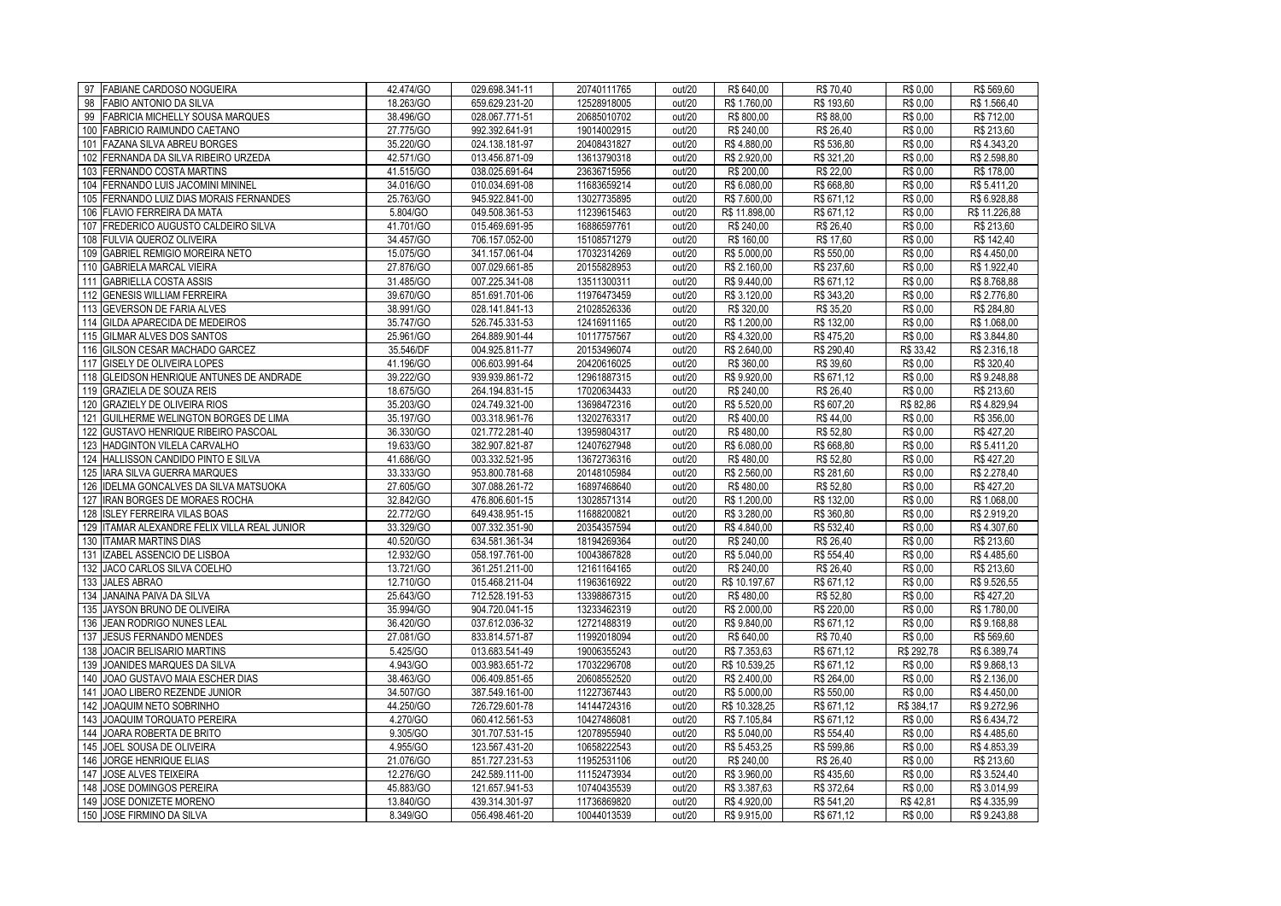| 97 FABIANE CARDOSO NOGUEIRA                    | 42.474/GO              | 029.698.341-11 | 20740111765 | out/20 | R\$ 640,00    | R\$ 70,40  | R\$ 0.00   | R\$ 569,60                 |
|------------------------------------------------|------------------------|----------------|-------------|--------|---------------|------------|------------|----------------------------|
| 98 FABIO ANTONIO DA SILVA                      | 18.263/GO              | 659.629.231-20 | 12528918005 | out/20 | R\$ 1.760,00  | R\$ 193,60 | R\$ 0.00   | R\$ 1.566,40               |
| 99 FABRICIA MICHELLY SOUSA MARQUES             | 38.496/GO              | 028.067.771-51 | 20685010702 | out/20 | R\$ 800,00    | R\$ 88,00  | R\$ 0.00   | R\$ 712,00                 |
| 100 FABRICIO RAIMUNDO CAETANO                  | 27.775/GO              | 992.392.641-91 | 19014002915 | out/20 | R\$ 240,00    | R\$ 26,40  | R\$ 0.00   | R\$ 213,60                 |
| 101 FAZANA SILVA ABREU BORGES                  | 35.220/GO              | 024.138.181-97 | 20408431827 | out/20 | R\$4.880,00   | R\$ 536,80 | R\$ 0.00   | R\$4.343,20                |
| 102 FERNANDA DA SILVA RIBEIRO URZEDA           | 42.571/GO              | 013.456.871-09 | 13613790318 | out/20 | R\$ 2.920,00  | R\$ 321,20 | R\$ 0.00   | R\$ 2.598,80               |
| 103 FERNANDO COSTA MARTINS                     | 41.515/GO              | 038.025.691-64 | 23636715956 | out/20 | R\$ 200,00    | R\$ 22,00  | R\$ 0,00   | R\$ 178,00                 |
| 104 FERNANDO LUIS JACOMINI MININEL             | 34.016/GO              | 010.034.691-08 | 11683659214 | out/20 | R\$ 6.080.00  | R\$ 668,80 | R\$ 0.00   | R\$ 5.411,20               |
| 105 FERNANDO LUIZ DIAS MORAIS FERNANDES        | 25.763/GO              | 945.922.841-00 | 13027735895 | out/20 | R\$ 7.600,00  | R\$ 671,12 | R\$ 0.00   | R\$ 6.928,88               |
| 106 FLAVIO FERREIRA DA MATA                    | 5.804/GO               | 049.508.361-53 | 11239615463 | out/20 | R\$ 11.898,00 | R\$ 671,12 | R\$ 0.00   | R\$ 11.226,88              |
| 107 FREDERICO AUGUSTO CALDEIRO SILVA           | 41.701/GO              | 015.469.691-95 | 16886597761 | out/20 | R\$ 240,00    | R\$ 26,40  | R\$ 0.00   | R\$ 213,60                 |
| 108 FULVIA QUEROZ OLIVEIRA                     | 34.457/GO              | 706.157.052-00 | 15108571279 | out/20 | R\$ 160,00    | R\$ 17,60  | R\$ 0.00   | R\$ 142,40                 |
| 109 GABRIEL REMIGIO MOREIRA NETO               | 15.075/GO              | 341.157.061-04 | 17032314269 | out/20 | R\$ 5.000,00  | R\$ 550,00 | R\$ 0.00   | R\$4.450,00                |
| 110 GABRIELA MARCAL VIEIRA                     | 27.876/GO              | 007.029.661-85 | 20155828953 | out/20 | R\$ 2.160,00  | R\$ 237,60 | R\$ 0.00   | R\$ 1.922,40               |
| 111 GABRIELLA COSTA ASSIS                      | 31.485/GO              | 007.225.341-08 | 13511300311 | out/20 | R\$ 9.440,00  | R\$ 671,12 | R\$ 0,00   | R\$ 8.768,88               |
| 112 GENESIS WILLIAM FERREIRA                   | 39.670/GO              | 851.691.701-06 | 11976473459 | out/20 | R\$ 3.120,00  | R\$ 343,20 | R\$ 0,00   | R\$ 2.776,80               |
| 113 GEVERSON DE FARIA ALVES                    | 38.991/GO              | 028.141.841-13 | 21028526336 | out/20 | R\$ 320,00    | R\$ 35,20  | R\$ 0.00   | R\$ 284,80                 |
| 114 GILDA APARECIDA DE MEDEIROS                | 35.747/GO              | 526.745.331-53 | 12416911165 | out/20 | R\$ 1.200,00  | R\$ 132,00 | R\$ 0.00   | R\$ 1.068,00               |
| 115 GILMAR ALVES DOS SANTOS                    | 25.961/GO              | 264.889.901-44 | 10117757567 | out/20 | R\$4.320,00   | R\$475,20  | R\$ 0.00   | R\$ 3.844,80               |
| 116 GILSON CESAR MACHADO GARCEZ                | 35.546/DF              | 004.925.811-77 | 20153496074 | out/20 | R\$ 2.640,00  | R\$ 290,40 | R\$ 33,42  | R\$ 2.316,18               |
| 117 GISELY DE OLIVEIRA LOPES                   | 41.196/GO              | 006.603.991-64 | 20420616025 | out/20 | R\$ 360,00    | R\$ 39,60  | R\$ 0.00   | R\$ 320,40                 |
| 118 GLEIDSON HENRIQUE ANTUNES DE ANDRADE       | 39.222/GO              | 939.939.861-72 | 12961887315 | out/20 | R\$ 9.920,00  | R\$ 671,12 | R\$ 0.00   | R\$ 9.248,88               |
| 119 GRAZIELA DE SOUZA REIS                     | 18.675/GO              | 264.194.831-15 | 17020634433 | out/20 | R\$ 240,00    | R\$ 26,40  | R\$ 0.00   | R\$ 213,60                 |
| 120 GRAZIELY DE OLIVEIRA RIOS                  | 35.203/GO              | 024.749.321-00 | 13698472316 | out/20 | R\$ 5.520,00  | R\$ 607,20 | R\$ 82,86  | R\$4.829,94                |
| 121 GUILHERME WELINGTON BORGES DE LIMA         | 35.197/GO              | 003.318.961-76 | 13202763317 | out/20 | R\$400.00     | R\$ 44,00  | R\$ 0.00   | R\$ 356,00                 |
| 122 GUSTAVO HENRIQUE RIBEIRO PASCOAL           | 36.330/GO              | 021.772.281-40 | 13959804317 | out/20 | R\$480,00     | R\$ 52,80  | R\$ 0.00   | R\$427,20                  |
| 123 HADGINTON VILELA CARVALHO                  | 19.633/GO              | 382.907.821-87 | 12407627948 | out/20 | R\$ 6.080,00  | R\$ 668,80 | R\$ 0.00   | R\$ 5.411,20               |
| 124 HALLISSON CANDIDO PINTO E SILVA            | 41.686/GO              | 003.332.521-95 | 13672736316 | out/20 | R\$480,00     | R\$ 52,80  | R\$ 0.00   | R\$427,20                  |
| 125 IARA SILVA GUERRA MARQUES                  | 33.333/GO              | 953.800.781-68 | 20148105984 | out/20 | R\$ 2.560,00  | R\$ 281,60 | R\$ 0.00   | R\$ 2.278,40               |
| 126 IDELMA GONCALVES DA SILVA MATSUOKA         | 27.605/GO              | 307.088.261-72 | 16897468640 | out/20 | R\$480,00     | R\$ 52,80  | R\$ 0.00   | R\$427,20                  |
| 127 IRAN BORGES DE MORAES ROCHA                | 32.842/GO              | 476.806.601-15 | 13028571314 | out/20 | R\$ 1.200,00  | R\$ 132,00 | R\$ 0.00   | R\$ 1.068,00               |
| 128 ISLEY FERREIRA VILAS BOAS                  | 22.772/GO              | 649.438.951-15 | 11688200821 | out/20 | R\$ 3.280,00  | R\$ 360,80 | R\$ 0.00   | R\$ 2.919,20               |
| 129   ITAMAR ALEXANDRE FELIX VILLA REAL JUNIOR | 33.329/GO              | 007.332.351-90 | 20354357594 | out/20 | R\$4.840,00   | R\$ 532,40 | R\$ 0.00   | R\$4.307,60                |
| 130 ITAMAR MARTINS DIAS                        | 40.520/GO              | 634.581.361-34 | 18194269364 | out/20 | R\$ 240,00    | R\$ 26,40  | R\$ 0.00   | R\$ 213,60                 |
| 131 IZABEL ASSENCIO DE LISBOA                  | 12.932/GO              | 058.197.761-00 | 10043867828 | out/20 | R\$ 5.040,00  | R\$ 554,40 | R\$ 0.00   | R\$4.485,60                |
| 132 JACO CARLOS SILVA COELHO                   | 13.721/GO              | 361.251.211-00 | 12161164165 | out/20 | R\$ 240,00    | R\$ 26,40  | R\$ 0.00   | R\$ 213,60                 |
| 133 JALES ABRAO                                | 12.710/GO              | 015.468.211-04 | 11963616922 | out/20 | R\$ 10.197,67 | R\$ 671,12 | R\$ 0.00   | R\$ 9.526,55               |
| 134 JANAINA PAIVA DA SILVA                     | 25.643/GO              | 712.528.191-53 | 13398867315 | out/20 | R\$480,00     | R\$ 52,80  | R\$ 0.00   | R\$427,20                  |
| 135 JAYSON BRUNO DE OLIVEIRA                   | 35.994/GO              | 904.720.041-15 | 13233462319 | out/20 | R\$ 2.000,00  | R\$ 220,00 | R\$ 0.00   | R\$ 1.780,00               |
| 136 JEAN RODRIGO NUNES LEAL                    | 36.420/GO              | 037.612.036-32 | 12721488319 | out/20 | R\$ 9.840,00  | R\$ 671,12 | R\$ 0.00   | R\$ 9.168,88               |
| 137 JESUS FERNANDO MENDES                      | 27.081/GO              | 833.814.571-87 | 11992018094 | out/20 | R\$ 640,00    | R\$ 70,40  | R\$ 0,00   | R\$ 569,60                 |
| 138 JOACIR BELISARIO MARTINS                   | 5.425/GO               | 013.683.541-49 | 19006355243 | out/20 | R\$ 7.353,63  | R\$ 671,12 | R\$ 292,78 | R\$ 6.389,74               |
| 139 JOANIDES MARQUES DA SILVA                  | 4.943/GO               | 003.983.651-72 | 17032296708 | out/20 | R\$ 10.539,25 | R\$ 671,12 | R\$ 0.00   | R\$ 9.868,13               |
| 140 JOAO GUSTAVO MAIA ESCHER DIAS              | 38.463/GO              | 006.409.851-65 | 20608552520 | out/20 | R\$ 2.400,00  | R\$ 264,00 | R\$ 0.00   | R\$ 2.136,00               |
| 141 JOAO LIBERO REZENDE JUNIOR                 | 34.507/GO              | 387.549.161-00 | 11227367443 | out/20 | R\$ 5.000,00  | R\$ 550,00 | R\$ 0.00   | R\$4.450,00                |
| 142 JOAQUIM NETO SOBRINHO                      | 44.250/GO              | 726.729.601-78 | 14144724316 | out/20 | R\$ 10.328,25 | R\$ 671,12 | R\$ 384,17 | R\$ 9.272,96               |
| 143 JOAQUIM TORQUATO PEREIRA                   | 4.270/GO               | 060.412.561-53 | 10427486081 | out/20 | R\$ 7.105,84  | R\$ 671,12 | R\$ 0.00   | R\$ 6.434,72               |
| 144 JOARA ROBERTA DE BRITO                     | 9.305/GO               | 301.707.531-15 | 12078955940 | out/20 | R\$ 5.040,00  | R\$ 554,40 | R\$ 0.00   | R\$4.485,60                |
| 145 JOEL SOUSA DE OLIVEIRA                     | 4.955/GO               | 123.567.431-20 | 10658222543 | out/20 | R\$ 5.453,25  | R\$ 599,86 | R\$ 0.00   | R\$4.853,39                |
|                                                |                        |                | 11952531106 | out/20 | R\$ 240.00    |            | R\$ 0.00   |                            |
| 146 JORGE HENRIQUE ELIAS                       | 21.076/GO<br>12.276/GO | 851.727.231-53 |             |        |               | R\$ 26,40  | R\$ 0.00   | R\$ 213,60<br>R\$ 3.524,40 |
| 147 JOSE ALVES TEIXEIRA                        |                        | 242.589.111-00 | 11152473934 | out/20 | R\$ 3.960,00  | R\$435,60  |            |                            |
| 148 JOSE DOMINGOS PEREIRA                      | 45.883/GO              | 121.657.941-53 | 10740435539 | out/20 | R\$ 3.387,63  | R\$ 372,64 | R\$ 0.00   | R\$ 3.014,99               |
| 149 JOSE DONIZETE MORENO                       | 13.840/GO              | 439.314.301-97 | 11736869820 | out/20 | R\$4.920,00   | R\$ 541,20 | R\$42,81   | R\$4.335,99                |
| 150 JOSE FIRMINO DA SILVA                      | 8.349/GO               | 056.498.461-20 | 10044013539 | out/20 | R\$ 9.915,00  | R\$ 671,12 | R\$ 0.00   | R\$ 9.243,88               |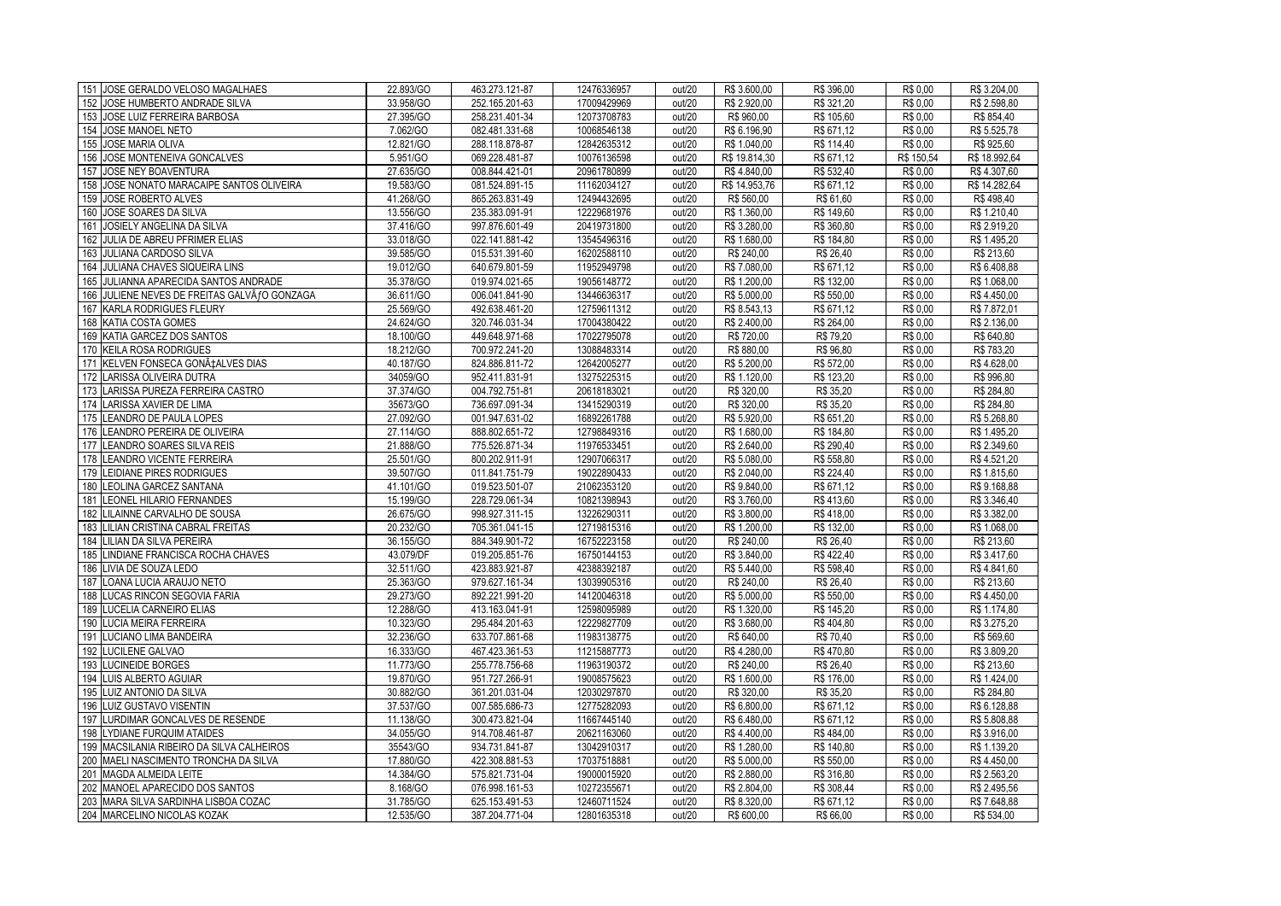| 151 JOSE GERALDO VELOSO MAGALHAES             | 22.893/GO              | 463.273.121-87 | 12476336957                | out/20 | R\$ 3.600,00  | R\$ 396,00 | R\$ 0.00   | R\$ 3.204,00  |
|-----------------------------------------------|------------------------|----------------|----------------------------|--------|---------------|------------|------------|---------------|
| 152 JOSE HUMBERTO ANDRADE SILVA               | 33.958/GO              | 252.165.201-63 | 17009429969                | out/20 | R\$ 2.920,00  | R\$ 321,20 | R\$ 0.00   | R\$ 2.598,80  |
| 153 JOSE LUIZ FERREIRA BARBOSA                | 27.395/GO              | 258.231.401-34 | 12073708783                | out/20 | R\$ 960,00    | R\$ 105,60 | R\$ 0.00   | R\$ 854,40    |
| 154 JOSE MANOEL NETO                          | 7.062/GO               | 082.481.331-68 | 10068546138                | out/20 | R\$ 6.196,90  | R\$ 671,12 | R\$ 0,00   | R\$ 5.525,78  |
| 155 JOSE MARIA OLIVA                          | 12.821/GO              | 288.118.878-87 | 12842635312                | out/20 | R\$ 1.040,00  | R\$ 114,40 | R\$ 0.00   | R\$ 925,60    |
| 156 JOSE MONTENEIVA GONCALVES                 | 5.951/GO               | 069.228.481-87 | 10076136598                | out/20 | R\$ 19.814,30 | R\$ 671,12 | R\$ 150,54 | R\$ 18.992,64 |
| 157 JOSE NEY BOAVENTURA                       | 27.635/GO              | 008.844.421-01 | 20961780899                | out/20 | R\$4.840,00   | R\$ 532,40 | R\$ 0,00   | R\$4.307,60   |
| 158 JOSE NONATO MARACAIPE SANTOS OLIVEIRA     | 19.583/GO              | 081.524.891-15 | 11162034127                | out/20 | R\$ 14.953,76 | R\$ 671,12 | R\$ 0,00   | R\$ 14.282,64 |
| 159 JOSE ROBERTO ALVES                        | 41.268/GO              | 865.263.831-49 | 12494432695                | out/20 | R\$ 560,00    | R\$ 61,60  | R\$ 0.00   | R\$498,40     |
| 160 JOSE SOARES DA SILVA                      | 13.556/GO              | 235.383.091-91 | 12229681976                | out/20 | R\$ 1.360,00  | R\$ 149,60 | R\$ 0.00   | R\$ 1.210,40  |
| 161 JOSIELY ANGELINA DA SILVA                 | 37.416/GO              | 997.876.601-49 | 20419731800                | out/20 | R\$ 3.280,00  | R\$ 360,80 | R\$ 0.00   | R\$ 2.919,20  |
| 162 JULIA DE ABREU PFRIMER ELIAS              | 33.018/GO              | 022.141.881-42 | 13545496316                | out/20 | R\$ 1.680,00  | R\$ 184,80 | R\$ 0.00   | R\$ 1.495,20  |
| 163 JULIANA CARDOSO SILVA                     | 39.585/GO              | 015.531.391-60 | 16202588110                | out/20 | R\$ 240,00    | R\$ 26,40  | R\$ 0.00   | R\$ 213,60    |
| 164 JULIANA CHAVES SIQUEIRA LINS              | 19.012/GO              | 640.679.801-59 | 11952949798                | out/20 | R\$ 7.080,00  | R\$ 671,12 | R\$ 0.00   | R\$ 6.408,88  |
| 165 JULIANNA APARECIDA SANTOS ANDRADE         | 35.378/GO              | 019.974.021-65 | 19056148772                | out/20 | R\$ 1.200,00  | R\$ 132,00 | R\$ 0.00   | R\$ 1.068,00  |
| 166 JULIENE NEVES DE FREITAS GALVÃ fO GONZAGA | 36.611/GO              | 006.041.841-90 | 13446636317                | out/20 | R\$ 5.000,00  | R\$ 550,00 | R\$ 0,00   | R\$4.450,00   |
| 167 KARLA RODRIGUES FLEURY                    | 25.569/GO              | 492.638.461-20 | 12759611312                | out/20 | R\$ 8.543,13  | R\$ 671,12 | R\$ 0.00   | R\$ 7.872,01  |
| 168 KATIA COSTA GOMES                         | 24.624/GO              | 320.746.031-34 | 17004380422                | out/20 | R\$ 2.400,00  | R\$ 264,00 | R\$ 0.00   | R\$ 2.136,00  |
| 169 KATIA GARCEZ DOS SANTOS                   | 18.100/GO              | 449.648.971-68 | 17022795078                | out/20 | R\$ 720,00    | R\$ 79,20  | R\$ 0,00   | R\$ 640,80    |
| 170 KEILA ROSA RODRIGUES                      | 18.212/GO              | 700.972.241-20 | 13088483314                | out/20 | R\$880,00     | R\$ 96,80  | R\$ 0.00   | R\$783,20     |
| 171 KELVEN FONSECA GONA‡ALVES DIAS            | 40.187/GO              | 824.886.811-72 | 12642005277                | out/20 | R\$ 5.200,00  | R\$ 572,00 | R\$ 0,00   | R\$4.628,00   |
| 172 LARISSA OLIVEIRA DUTRA                    | 34059/GO               | 952.411.831-91 | 13275225315                | out/20 | R\$ 1.120,00  | R\$ 123,20 | R\$ 0,00   | R\$ 996,80    |
| 173 LARISSA PUREZA FERREIRA CASTRO            | 37.374/GO              | 004.792.751-81 | 20618183021                | out/20 | R\$ 320,00    | R\$ 35,20  | R\$ 0,00   | R\$ 284,80    |
| 174 LARISSA XAVIER DE LIMA                    | 35673/GO               | 736.697.091-34 | 13415290319                | out/20 | R\$ 320,00    | R\$ 35,20  | R\$ 0,00   | R\$ 284,80    |
| 175 LEANDRO DE PAULA LOPES                    | 27.092/GO              | 001.947.631-02 | 16892261788                | out/20 | R\$ 5.920,00  | R\$ 651,20 | R\$ 0.00   | R\$ 5.268,80  |
| 176 LEANDRO PEREIRA DE OLIVEIRA               | 27.114/GO              | 888.802.651-72 | 12798849316                | out/20 | R\$ 1.680,00  | R\$ 184,80 | R\$ 0.00   | R\$ 1.495,20  |
| 177 LEANDRO SOARES SILVA REIS                 | 21.888/GO              | 775.526.871-34 | 11976533451                | out/20 | R\$ 2.640,00  | R\$ 290,40 | R\$ 0,00   | R\$ 2.349,60  |
| 178 LEANDRO VICENTE FERREIRA                  | 25.501/GO              | 800.202.911-91 | 12907066317                | out/20 | R\$ 5.080,00  | R\$ 558,80 | R\$ 0.00   | R\$4.521,20   |
| 179 LEIDIANE PIRES RODRIGUES                  | 39.507/GO              | 011.841.751-79 | 19022890433                | out/20 | R\$ 2.040,00  | R\$ 224,40 | R\$ 0.00   | R\$ 1.815,60  |
| 180 LEOLINA GARCEZ SANTANA                    | 41.101/GO              | 019.523.501-07 | 21062353120                | out/20 | R\$ 9.840,00  | R\$ 671,12 | R\$ 0.00   | R\$ 9.168,88  |
| 181 LEONEL HILARIO FERNANDES                  | 15.199/GO              | 228.729.061-34 | 10821398943                | out/20 | R\$ 3.760,00  | R\$413,60  | R\$ 0.00   | R\$ 3.346,40  |
| 182 LILAINNE CARVALHO DE SOUSA                | 26.675/GO              | 998.927.311-15 | 13226290311                | out/20 | R\$ 3.800,00  | R\$418,00  | R\$ 0.00   | R\$ 3.382,00  |
| 183 LILIAN CRISTINA CABRAL FREITAS            | 20.232/GO              | 705.361.041-15 | 12719815316                | out/20 | R\$ 1.200,00  | R\$ 132,00 | R\$ 0.00   | R\$ 1.068,00  |
| 184 LILIAN DA SILVA PEREIRA                   | 36.155/GO              | 884.349.901-72 | 16752223158                | out/20 | R\$ 240,00    | R\$ 26,40  | R\$ 0.00   | R\$ 213,60    |
| 185 LINDIANE FRANCISCA ROCHA CHAVES           | 43.079/DF              | 019.205.851-76 | 16750144153                | out/20 | R\$ 3.840,00  | R\$422,40  | R\$ 0,00   | R\$ 3.417,60  |
| 186 LIVIA DE SOUZA LEDO                       | 32.511/GO              | 423.883.921-87 | 42388392187                | out/20 | R\$ 5.440,00  | R\$ 598,40 | R\$ 0.00   | R\$4.841,60   |
| 187 LOANA LUCIA ARAUJO NETO                   | 25.363/GO              | 979.627.161-34 | 13039905316                | out/20 | R\$ 240,00    | R\$ 26,40  | R\$ 0,00   | R\$ 213,60    |
| 188 LUCAS RINCON SEGOVIA FARIA                | 29.273/GO              | 892.221.991-20 | 14120046318                | out/20 | R\$ 5.000,00  | R\$ 550,00 | R\$ 0,00   | R\$4.450,00   |
| 189 LUCELIA CARNEIRO ELIAS                    | 12.288/GO              | 413.163.041-91 | 12598095989                | out/20 | R\$ 1.320,00  | R\$ 145,20 | R\$ 0,00   | R\$ 1.174,80  |
| 190 LUCIA MEIRA FERREIRA                      | 10.323/GO              | 295.484.201-63 | 12229827709                | out/20 | R\$ 3.680,00  | R\$404,80  | R\$ 0,00   | R\$ 3.275,20  |
| 191 LUCIANO LIMA BANDEIRA                     | 32.236/GO              | 633.707.861-68 | 11983138775                | out/20 | R\$ 640,00    | R\$ 70,40  | R\$ 0,00   | R\$ 569,60    |
| 192 LUCILENE GALVAO                           | 16.333/GO              | 467.423.361-53 | 11215887773                | out/20 | R\$4.280,00   | R\$470,80  | R\$ 0.00   | R\$ 3.809,20  |
| 193 LUCINEIDE BORGES                          | 11.773/GO              | 255.778.756-68 | 11963190372                | out/20 | R\$ 240,00    | R\$ 26,40  | R\$ 0.00   | R\$ 213,60    |
| 194 LUIS ALBERTO AGUIAR                       | 19.870/GO              | 951.727.266-91 | 19008575623                | out/20 | R\$ 1.600,00  |            | R\$ 0.00   | R\$ 1.424,00  |
|                                               |                        |                |                            |        |               | R\$ 176,00 |            | R\$ 284,80    |
| 195 LUIZ ANTONIO DA SILVA                     | 30.882/GO<br>37.537/GO | 361.201.031-04 | 12030297870<br>12775282093 | out/20 | R\$ 320,00    | R\$ 35,20  | R\$ 0.00   | R\$ 6.128,88  |
| 196 LUIZ GUSTAVO VISENTIN                     |                        | 007.585.686-73 |                            | out/20 | R\$ 6.800,00  | R\$ 671,12 | R\$ 0.00   |               |
| 197 LURDIMAR GONCALVES DE RESENDE             | 11.138/GO              | 300.473.821-04 | 11667445140                | out/20 | R\$ 6.480,00  | R\$ 671,12 | R\$ 0.00   | R\$ 5.808,88  |
| 198 LYDIANE FURQUIM ATAIDES                   | 34.055/GO              | 914.708.461-87 | 20621163060                | out/20 | R\$4.400,00   | R\$484,00  | R\$ 0.00   | R\$ 3.916,00  |
| 199 MACSILANIA RIBEIRO DA SILVA CALHEIROS     | 35543/GO               | 934.731.841-87 | 13042910317                | out/20 | R\$ 1.280,00  | R\$ 140,80 | R\$ 0.00   | R\$ 1.139,20  |
| 200 MAELI NASCIMENTO TRONCHA DA SILVA         | 17,880/GO              | 422.308.881-53 | 17037518881                | out/20 | R\$ 5.000.00  | R\$ 550,00 | R\$ 0.00   | R\$4.450,00   |
| 201 MAGDA ALMEIDA LEITE                       | 14.384/GO              | 575.821.731-04 | 19000015920                | out/20 | R\$ 2.880,00  | R\$ 316,80 | R\$ 0.00   | R\$ 2.563,20  |
| 202 MANOEL APARECIDO DOS SANTOS               | 8.168/GO               | 076.998.161-53 | 10272355671                | out/20 | R\$ 2.804,00  | R\$ 308,44 | R\$ 0.00   | R\$ 2.495,56  |
| 203 MARA SILVA SARDINHA LISBOA COZAC          | 31.785/GO              | 625.153.491-53 | 12460711524                | out/20 | R\$ 8.320,00  | R\$ 671,12 | R\$ 0,00   | R\$ 7.648,88  |
| 204 MARCELINO NICOLAS KOZAK                   | 12.535/GO              | 387.204.771-04 | 12801635318                | out/20 | R\$ 600,00    | R\$ 66,00  | R\$ 0.00   | R\$ 534,00    |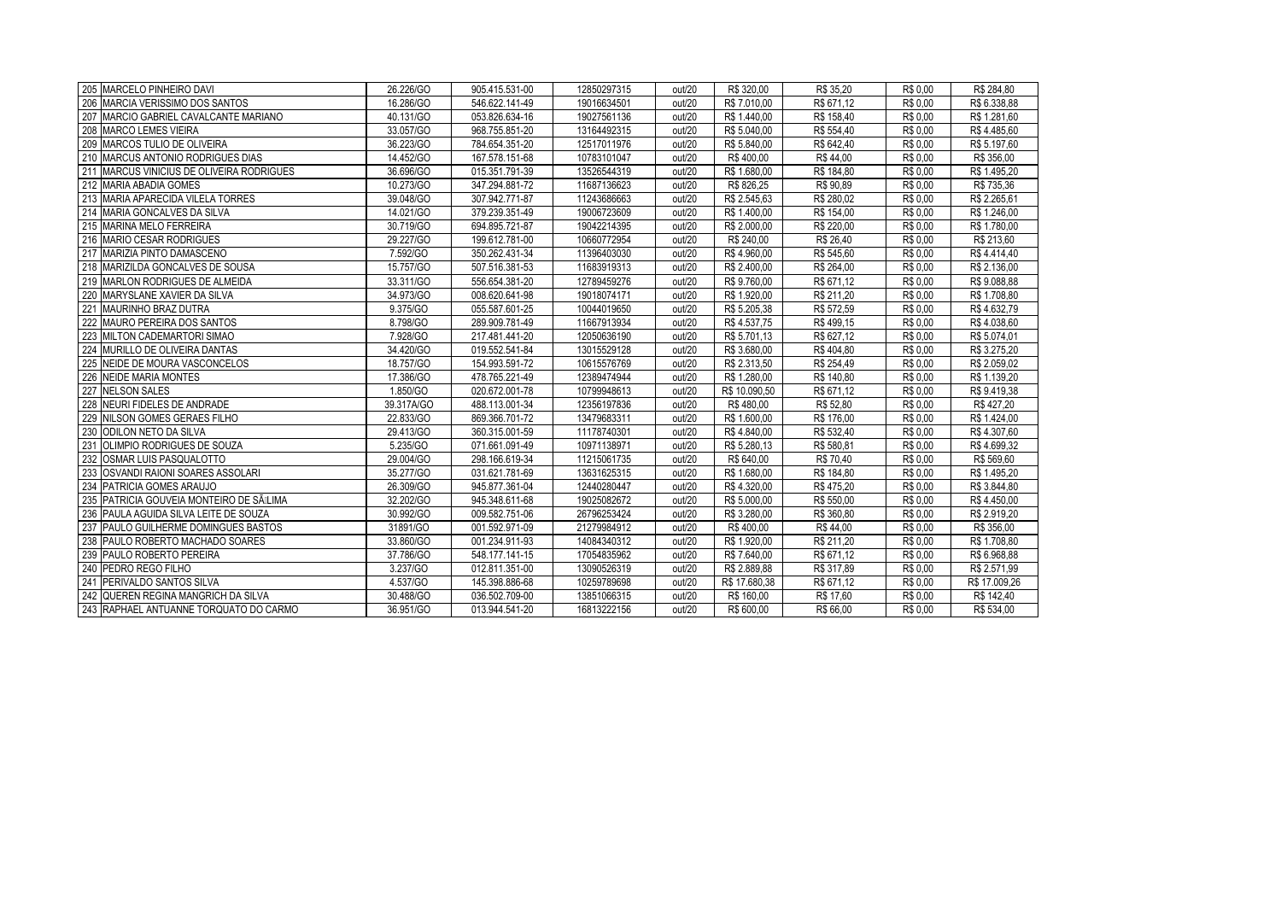| 205 MARCELO PINHEIRO DAVI                 | 26.226/GO  | 905.415.531-00 | 12850297315 | out/20 | R\$ 320.00    | R\$ 35,20  | R\$ 0.00 | R\$ 284,80    |
|-------------------------------------------|------------|----------------|-------------|--------|---------------|------------|----------|---------------|
| 206 MARCIA VERISSIMO DOS SANTOS           | 16.286/GO  | 546.622.141-49 | 19016634501 | out/20 | R\$ 7.010.00  | R\$ 671.12 | R\$ 0.00 | R\$ 6.338.88  |
| 207 MARCIO GABRIEL CAVALCANTE MARIANO     | 40.131/GO  | 053.826.634-16 | 19027561136 | out/20 | R\$ 1.440.00  | R\$ 158,40 | R\$ 0.00 | R\$ 1.281,60  |
| 208 MARCO LEMES VIEIRA                    | 33.057/GO  | 968.755.851-20 | 13164492315 | out/20 | R\$ 5.040.00  | R\$ 554,40 | R\$ 0.00 | R\$4.485.60   |
| 209 MARCOS TULIO DE OLIVEIRA              | 36.223/GO  | 784.654.351-20 | 12517011976 | out/20 | R\$ 5.840,00  | R\$ 642,40 | R\$ 0.00 | R\$ 5.197,60  |
| 210 MARCUS ANTONIO RODRIGUES DIAS         | 14.452/GO  | 167.578.151-68 | 10783101047 | out/20 | R\$400,00     | R\$44,00   | R\$ 0.00 | R\$ 356,00    |
| 211 MARCUS VINICIUS DE OLIVEIRA RODRIGUES | 36.696/GO  | 015.351.791-39 | 13526544319 | out/20 | R\$ 1.680.00  | R\$ 184,80 | R\$ 0.00 | R\$ 1.495.20  |
| 212<br>MARIA ABADIA GOMES                 | 10.273/GO  | 347.294.881-72 | 11687136623 | out/20 | R\$ 826,25    | R\$ 90,89  | R\$ 0.00 | R\$735,36     |
| 213 MARIA APARECIDA VILELA TORRES         | 39.048/GO  | 307.942.771-87 | 11243686663 | out/20 | R\$ 2.545.63  | R\$ 280,02 | R\$ 0.00 | R\$ 2.265,61  |
| 214 MARIA GONCALVES DA SILVA              | 14.021/GO  | 379.239.351-49 | 19006723609 | out/20 | R\$ 1.400.00  | R\$ 154,00 | R\$ 0.00 | R\$ 1.246,00  |
| 215 MARINA MELO FERREIRA                  | 30.719/GO  | 694.895.721-87 | 19042214395 | out/20 | R\$ 2.000.00  | R\$ 220,00 | R\$ 0.00 | R\$ 1.780,00  |
| 216 MARIO CESAR RODRIGUES                 | 29.227/GO  | 199.612.781-00 | 10660772954 | out/20 | R\$ 240.00    | R\$ 26,40  | R\$ 0.00 | R\$ 213,60    |
| 217 MARIZIA PINTO DAMASCENO               | 7.592/GO   | 350.262.431-34 | 11396403030 | out/20 | R\$4.960.00   | R\$ 545,60 | R\$ 0.00 | R\$4.414,40   |
| 218 MARIZILDA GONCALVES DE SOUSA          | 15.757/GO  | 507.516.381-53 | 11683919313 | out/20 | R\$ 2.400.00  | R\$ 264,00 | R\$ 0.00 | R\$ 2.136,00  |
| 219 MARLON RODRIGUES DE ALMEIDA           | 33.311/GO  | 556.654.381-20 | 12789459276 | out/20 | R\$ 9.760.00  | R\$ 671.12 | R\$ 0.00 | R\$ 9.088,88  |
| 220 MARYSLANE XAVIER DA SILVA             | 34.973/GO  | 008.620.641-98 | 19018074171 | out/20 | R\$ 1.920.00  | R\$ 211,20 | R\$ 0.00 | R\$ 1.708,80  |
| 221 MAURINHO BRAZ DUTRA                   | 9.375/GO   | 055.587.601-25 | 10044019650 | out/20 | R\$ 5.205,38  | R\$ 572,59 | R\$ 0.00 | R\$4.632,79   |
| 222 MAURO PEREIRA DOS SANTOS              | 8.798/GO   | 289.909.781-49 | 11667913934 | out/20 | R\$4.537,75   | R\$499,15  | R\$ 0.00 | R\$4.038,60   |
| 223 MILTON CADEMARTORI SIMAO              | 7.928/GO   | 217.481.441-20 | 12050636190 | out/20 | R\$ 5.701.13  | R\$ 627.12 | R\$ 0.00 | R\$ 5.074.01  |
| 224 MURILLO DE OLIVEIRA DANTAS            | 34.420/GO  | 019.552.541-84 | 13015529128 | out/20 | R\$ 3.680,00  | R\$404,80  | R\$ 0.00 | R\$ 3.275,20  |
| 225 NEIDE DE MOURA VASCONCELOS            | 18.757/GO  | 154.993.591-72 | 10615576769 | out/20 | R\$ 2.313,50  | R\$ 254,49 | R\$ 0.00 | R\$ 2.059,02  |
| 226 NEIDE MARIA MONTES                    | 17.386/GO  | 478.765.221-49 | 12389474944 | out/20 | R\$ 1.280.00  | R\$ 140,80 | R\$ 0.00 | R\$ 1.139,20  |
| 227 NELSON SALES                          | 1.850/GO   | 020.672.001-78 | 10799948613 | out/20 | R\$ 10.090,50 | R\$ 671,12 | R\$ 0.00 | R\$ 9.419,38  |
| 228 NEURI FIDELES DE ANDRADE              | 39.317A/GO | 488.113.001-34 | 12356197836 | out/20 | R\$480,00     | R\$ 52,80  | R\$ 0.00 | R\$427,20     |
| 229 NILSON GOMES GERAES FILHO             | 22.833/GO  | 869.366.701-72 | 13479683311 | out/20 | R\$ 1.600.00  | R\$ 176,00 | R\$ 0.00 | R\$ 1.424,00  |
| 230 ODILON NETO DA SILVA                  | 29.413/GO  | 360.315.001-59 | 11178740301 | out/20 | R\$4.840,00   | R\$ 532,40 | R\$ 0.00 | R\$4.307,60   |
| 231 OLIMPIO RODRIGUES DE SOUZA            | 5.235/GO   | 071.661.091-49 | 10971138971 | out/20 | R\$ 5.280.13  | R\$ 580,81 | R\$ 0.00 | R\$4.699,32   |
| 232 OSMAR LUIS PASQUALOTTO                | 29.004/GO  | 298.166.619-34 | 11215061735 | out/20 | R\$ 640,00    | R\$ 70,40  | R\$ 0.00 | R\$ 569,60    |
| 233 OSVANDI RAIONI SOARES ASSOLARI        | 35.277/GO  | 031.621.781-69 | 13631625315 | out/20 | R\$ 1.680,00  | R\$ 184,80 | R\$ 0.00 | R\$ 1.495,20  |
| 234 PATRICIA GOMES ARAUJO                 | 26.309/GO  | 945.877.361-04 | 12440280447 | out/20 | R\$4.320,00   | R\$475,20  | R\$ 0.00 | R\$ 3.844,80  |
| 235 PATRICIA GOUVEIA MONTEIRO DE SÃ-LIMA  | 32.202/GO  | 945.348.611-68 | 19025082672 | out/20 | R\$ 5.000,00  | R\$ 550,00 | R\$ 0,00 | R\$4.450,00   |
| 236 PAULA AGUIDA SILVA LEITE DE SOUZA     | 30.992/GO  | 009.582.751-06 | 26796253424 | out/20 | R\$ 3.280,00  | R\$ 360,80 | R\$ 0.00 | R\$ 2.919,20  |
| 237 PAULO GUILHERME DOMINGUES BASTOS      | 31891/GO   | 001.592.971-09 | 21279984912 | out/20 | R\$400,00     | R\$ 44,00  | R\$ 0.00 | R\$ 356,00    |
| 238 PAULO ROBERTO MACHADO SOARES          | 33.860/GO  | 001.234.911-93 | 14084340312 | out/20 | R\$ 1.920,00  | R\$ 211,20 | R\$ 0,00 | R\$ 1.708,80  |
| 239 PAULO ROBERTO PEREIRA                 | 37.786/GO  | 548.177.141-15 | 17054835962 | out/20 | R\$ 7.640.00  | R\$ 671,12 | R\$ 0.00 | R\$ 6.968,88  |
| 240 PEDRO REGO FILHO                      | 3.237/GO   | 012.811.351-00 | 13090526319 | out/20 | R\$ 2.889,88  | R\$ 317,89 | R\$ 0.00 | R\$ 2.571,99  |
| 241 PERIVALDO SANTOS SILVA                | 4.537/GO   | 145.398.886-68 | 10259789698 | out/20 | R\$ 17.680,38 | R\$ 671,12 | R\$ 0,00 | R\$ 17.009,26 |
| 242 QUEREN REGINA MANGRICH DA SILVA       | 30.488/GO  | 036.502.709-00 | 13851066315 | out/20 | R\$ 160.00    | R\$ 17,60  | R\$ 0.00 | R\$ 142,40    |
| 243 RAPHAEL ANTUANNE TORQUATO DO CARMO    | 36.951/GO  | 013.944.541-20 | 16813222156 | out/20 | R\$ 600.00    | R\$ 66,00  | R\$ 0.00 | R\$ 534.00    |